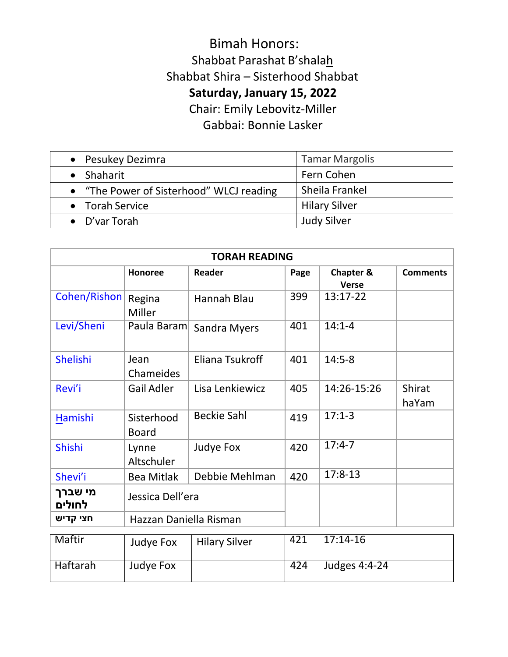## Bimah Honors: Shabbat Parashat B'shalah Shabbat Shira – Sisterhood Shabbat **Saturday, January 15, 2022** Chair: Emily Lebovitz-Miller

Gabbai: Bonnie Lasker

| • Pesukey Dezimra                        | <b>Tamar Margolis</b> |
|------------------------------------------|-----------------------|
| $\bullet$ Shaharit                       | Fern Cohen            |
| • "The Power of Sisterhood" WLCJ reading | Sheila Frankel        |
| • Torah Service                          | <b>Hilary Silver</b>  |
| $\bullet$ D'var Torah                    | <b>Judy Silver</b>    |

| <b>TORAH READING</b> |                            |                     |      |                                      |                        |
|----------------------|----------------------------|---------------------|------|--------------------------------------|------------------------|
|                      | <b>Honoree</b>             | <b>Reader</b>       | Page | <b>Chapter &amp;</b><br><b>Verse</b> | <b>Comments</b>        |
| Cohen/Rishon         | Regina<br>Miller           | Hannah Blau         | 399  | 13:17-22                             |                        |
| Levi/Sheni           | Paula Baram                | <b>Sandra Myers</b> | 401  | $14:1 - 4$                           |                        |
| Shelishi             | Jean<br>Chameides          | Eliana Tsukroff     | 401  | $14:5-8$                             |                        |
| Revi'i               | <b>Gail Adler</b>          | Lisa Lenkiewicz     | 405  | 14:26-15:26                          | <b>Shirat</b><br>haYam |
| Hamishi              | Sisterhood<br><b>Board</b> | <b>Beckie Sahl</b>  | 419  | $17:1-3$                             |                        |
| <b>Shishi</b>        | Lynne<br>Altschuler        | Judye Fox           | 420  | $17:4-7$                             |                        |
| Shevi'i              | <b>Bea Mitlak</b>          | Debbie Mehlman      | 420  | $17:8-13$                            |                        |
| מי שברך<br>לחולים    | Jessica Dell'era           |                     |      |                                      |                        |
| חצי קדיש             | Hazzan Daniella Risman     |                     |      |                                      |                        |
| Maftir               | $l$ , $l$                  | 1112222222          | 421  | $17.14 - 16$                         |                        |

| Maftir   | Judye Fox | <b>Hilary Silver</b> | 421 | 17:14-16      |  |
|----------|-----------|----------------------|-----|---------------|--|
| Haftarah | Judye Fox |                      | 424 | Judges 4:4-24 |  |